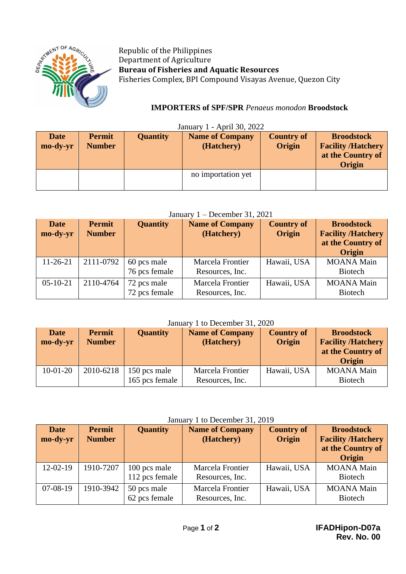

Republic of the Philippines Department of Agriculture **Bureau of Fisheries and Aquatic Resources** Fisheries Complex, BPI Compound Visayas Avenue, Quezon City

# **IMPORTERS of SPF/SPR** *Penaeus monodon* **Broodstock**

| <b>Date</b><br>mo-dy-yr | <b>Permit</b><br><b>Number</b> | <b>Quantity</b> | <b>Name of Company</b><br>(Hatchery) | <b>Country of</b><br>Origin | <b>Broodstock</b><br><b>Facility /Hatchery</b><br>at the Country of<br><b>Origin</b> |
|-------------------------|--------------------------------|-----------------|--------------------------------------|-----------------------------|--------------------------------------------------------------------------------------|
|                         |                                |                 | no importation yet                   |                             |                                                                                      |

### $J_{\text{approx 1}}$   $\lambda$  pril 20, 2022

### January 1 – December 31, 2021

| <b>Date</b><br>mo-dy-yr | <b>Permit</b><br><b>Number</b> | <b>Quantity</b>              | <b>Name of Company</b><br>(Hatchery) | <b>Country of</b><br>Origin | <b>Broodstock</b><br><b>Facility /Hatchery</b><br>at the Country of<br><b>Origin</b> |
|-------------------------|--------------------------------|------------------------------|--------------------------------------|-----------------------------|--------------------------------------------------------------------------------------|
| $11-26-21$              | 2111-0792                      | 60 pcs male<br>76 pcs female | Marcela Frontier<br>Resources, Inc.  | Hawaii, USA                 | <b>MOANA</b> Main<br><b>Biotech</b>                                                  |
| $05-10-21$              | 2110-4764                      | 72 pcs male<br>72 pcs female | Marcela Frontier<br>Resources, Inc.  | Hawaii, USA                 | <b>MOANA</b> Main<br><b>Biotech</b>                                                  |

#### January 1 to December 31, 2020

| <b>Date</b><br>mo-dy-yr | Permit<br><b>Number</b> | <b>Quantity</b>                | <b>Name of Company</b><br>(Hatchery) | <b>Country of</b><br>Origin | <b>Broodstock</b><br><b>Facility /Hatchery</b><br>at the Country of<br><b>Origin</b> |
|-------------------------|-------------------------|--------------------------------|--------------------------------------|-----------------------------|--------------------------------------------------------------------------------------|
| $10-01-20$              | 2010-6218               | 150 pcs male<br>165 pcs female | Marcela Frontier<br>Resources, Inc.  | Hawaii, USA                 | <b>MOANA</b> Main<br><b>Biotech</b>                                                  |

### January 1 to December 31, 2019

| <b>Date</b><br>mo-dy-yr | <b>Permit</b><br><b>Number</b> | <b>Quantity</b>                | <b>Name of Company</b><br>(Hatchery) | <b>Country of</b><br>Origin | <b>Broodstock</b><br><b>Facility /Hatchery</b><br>at the Country of<br>Origin |
|-------------------------|--------------------------------|--------------------------------|--------------------------------------|-----------------------------|-------------------------------------------------------------------------------|
| $12-02-19$              | 1910-7207                      | 100 pcs male<br>112 pcs female | Marcela Frontier<br>Resources, Inc.  | Hawaii, USA                 | <b>MOANA Main</b><br><b>Biotech</b>                                           |
| $07-08-19$              | 1910-3942                      | 50 pcs male<br>62 pcs female   | Marcela Frontier<br>Resources, Inc.  | Hawaii, USA                 | <b>MOANA</b> Main<br><b>Biotech</b>                                           |